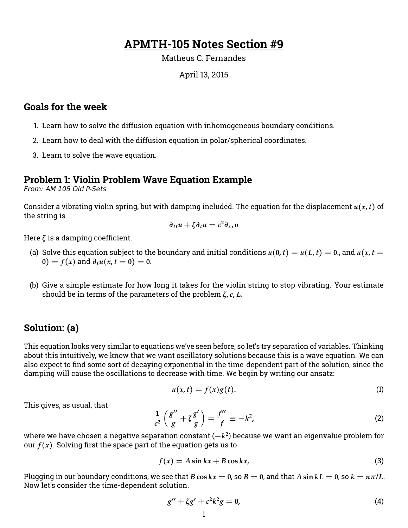# **APMTH-105 Notes Section #9**

Matheus C. Fernandes

#### April 13, 2015

# **Goals for the week**

- 1. Learn how to solve the diffusion equation with inhomogeneous boundary conditions.
- 2. Learn how to deal with the diffusion equation in polar/spherical coordinates.
- 3. Learn to solve the wave equation.

# **Problem 1: Violin Problem Wave Equation Example**

From: AM 105 Old P-Sets

Consider a vibrating violin spring, but with damping included. The equation for the displacement  $u(x, t)$  of the string is

$$
\partial_{tt}u + \zeta \partial_t u = c^2 \partial_{xx} u
$$

Here *ζ* is a damping coefficient.

- (a) Solve this equation subject to the boundary and initial conditions  $u(0,t) = u(L,t) = 0$ ., and  $u(x,t) = 0$  $(0) = f(x)$  and  $\partial_t u(x, t = 0) = 0$ .
- (b) Give a simple estimate for how long it takes for the violin string to stop vibrating. Your estimate should be in terms of the parameters of the problem *ζ***,** *c***,** *L*.

# **Solution: (a)**

This equation looks very similar to equations we've seen before, so let's try separation of variables. Thinking about this intuitively, we know that we want oscillatory solutions because this is a wave equation. We can also expect to find some sort of decaying exponential in the time-dependent part of the solution, since the damping will cause the oscillations to decrease with time. We begin by writing our ansatz:

$$
u(x,t) = f(x)g(t). \tag{1}
$$

This gives, as usual, that

$$
\frac{1}{c^2} \left( \frac{g''}{g} + \zeta \frac{g'}{g} \right) = \frac{f''}{f} \equiv -k^2,
$$
\n(2)

where we have chosen a negative separation constant ( $-k^2$ ) because we want an eigenvalue problem for our  $f(x)$ . Solving first the space part of the equation gets us to

$$
f(x) = A \sin kx + B \cos kx, \tag{3}
$$

Plugging in our boundary conditions, we see that *B*  $\cos kx = 0$ , so  $B = 0$ , and that  $A \sin kL = 0$ , so  $k = n\pi/L$ . Now let's consider the time-dependent solution.

$$
g'' + \zeta g' + c^2 k^2 g = 0,
$$
\t(4)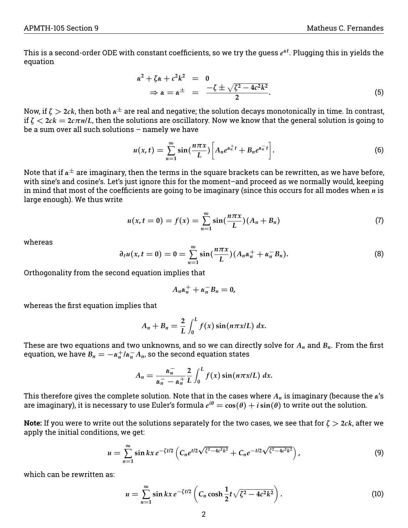This is a second-order ODE with constant coefficients, so we try the guess *e αt* . Plugging this in yields the equation

$$
\begin{array}{rcl}\n\alpha^2 + \zeta \alpha + c^2 k^2 & = & 0 \\
\Rightarrow \alpha = \alpha^{\pm} & = & \frac{-\zeta \pm \sqrt{\zeta^2 - 4c^2 k^2}}{2}.\n\end{array} \tag{5}
$$

Now, if  $\zeta>$  2 $ck$ , then both  $\alpha^\pm$  are real and negative; the solution decays monotonically in time. In contrast, if  $\zeta < 2ck = 2c\pi n/L$ , then the solutions are oscillatory. Now we know that the general solution is going to be a sum over all such solutions – namely we have

$$
u(x,t) = \sum_{n=1}^{\infty} \sin(\frac{n\pi x}{L}) \left[ A_n e^{\alpha_n^+ t} + B_n e^{\alpha_n^- t} \right].
$$
 (6)

Note that if  $\alpha^{\pm}$  are imaginary, then the terms in the square brackets can be rewritten, as we have before, with sine's and cosine's. Let's just ignore this for the moment–and proceed as we normally would, keeping in mind that most of the coefficients are going to be imaginary (since this occurs for all modes when *n* is large enough). We thus write

$$
u(x,t=0) = f(x) = \sum_{n=1}^{\infty} \sin(\frac{n\pi x}{L})(A_n + B_n)
$$
 (7)

whereas

$$
\partial_t u(x, t = 0) = 0 = \sum_{n=1}^{\infty} \sin(\frac{n\pi x}{L}) (A_n \alpha_n^+ + \alpha_n^- B_n).
$$
 (8)

Orthogonality from the second equation implies that

$$
A_n\alpha_n^+ + \alpha_n^- B_n = 0,
$$

whereas the first equation implies that

$$
A_n + B_n = \frac{2}{L} \int_0^L f(x) \sin(n \pi x/L) dx.
$$

These are two equations and two unknowns, and so we can directly solve for *A<sup>n</sup>* and *Bn*. From the first equation, we have  $B_n = -\alpha_n^+/\alpha_n^- A_n$ , so the second equation states

$$
A_n = \frac{\alpha_n^-}{\alpha_n^- - \alpha_n^+} \frac{2}{L} \int_0^L f(x) \sin(n \pi x/L) \ dx.
$$

This therefore gives the complete solution. Note that in the cases where  $A_n$  is imaginary (because the  $\alpha$ 's are imaginary), it is necessary to use Euler's formula  $e^{i\theta}=\cos(\theta)+i\sin(\theta)$  to write out the solution.

**Note:** If you were to write out the solutions separately for the two cases, we see that for *ζ* > **2***ck*, after we apply the initial conditions, we get:

$$
u = \sum_{n=1}^{\infty} \sin kx \, e^{-\zeta t/2} \left( C_n e^{t/2 \sqrt{\zeta^2 - 4c^2 k^2}} + C_n e^{-t/2 \sqrt{\zeta^2 - 4c^2 k^2}} \right), \tag{9}
$$

which can be rewritten as:

$$
u = \sum_{n=1}^{\infty} \sin kx \, e^{-\zeta t/2} \left( C_n \cosh \frac{1}{2} t \sqrt{\zeta^2 - 4c^2 k^2} \right).
$$
 (10)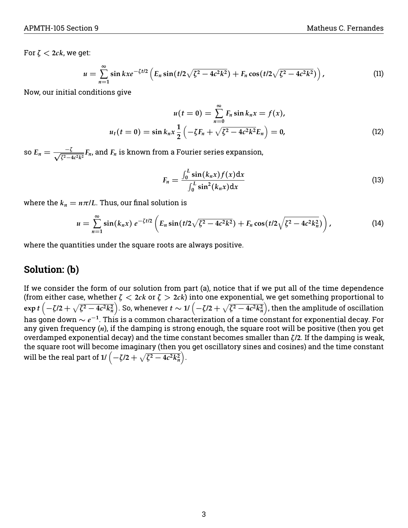For  $\zeta < 2ck$ , we get:

$$
u = \sum_{n=1}^{\infty} \sin kx e^{-\zeta t/2} \left( E_n \sin(t/2\sqrt{\zeta^2 - 4c^2k^2}) + F_n \cos(t/2\sqrt{\zeta^2 - 4c^2k^2}) \right), \tag{11}
$$

Now, our initial conditions give

$$
u(t=0) = \sum_{n=0}^{\infty} F_n \sin k_n x = f(x),
$$
  

$$
u_t(t=0) = \sin k_n x \frac{1}{2} \left( -\zeta F_n + \sqrt{\zeta^2 - 4c^2 k^2} E_n \right) = 0,
$$
 (12)

so  $E_n = \frac{-\zeta}{\sqrt{\zeta^2 - 4c^2k^2}} F_n$ , and  $F_n$  is known from a Fourier series expansion,

$$
F_n = \frac{\int_0^L \sin(k_n x) f(x) dx}{\int_0^L \sin^2(k_n x) dx}
$$
\n(13)

where the  $k_n = n\pi/L$ . Thus, our final solution is

$$
u = \sum_{n=1}^{\infty} \sin(k_n x) e^{-\zeta t/2} \left( E_n \sin(t/2\sqrt{\zeta^2 - 4c^2 k^2}) + F_n \cos(t/2\sqrt{\zeta^2 - 4c^2 k_n^2}) \right), \tag{14}
$$

where the quantities under the square roots are always positive.

#### **Solution: (b)**

If we consider the form of our solution from part (a), notice that if we put all of the time dependence (from either case, whether *ζ* < **2***ck* or *ζ* > **2***ck*) into one exponential, we get something proportional to exp  $t\left(-\zeta/2+\sqrt{\zeta^2-4c^2k_n^2}\right)$ . So, whenever  $t\sim1/\left(-\zeta/2+\sqrt{\zeta^2-4c^2k_n^2}\right)$ , then the amplitude of oscillation has gone down  $\sim e^{-1}$ . This is a common characterization of a time constant for exponential decay. For any given frequency (*n*), if the damping is strong enough, the square root will be positive (then you get overdamped exponential decay) and the time constant becomes smaller than *ζ***/2**. If the damping is weak, the square root will become imaginary (then you get oscillatory sines and cosines) and the time constant will be the real part of 1/  $\left(-\zeta/2+\sqrt{\zeta^2-4c^2k_n^2}\right)$ .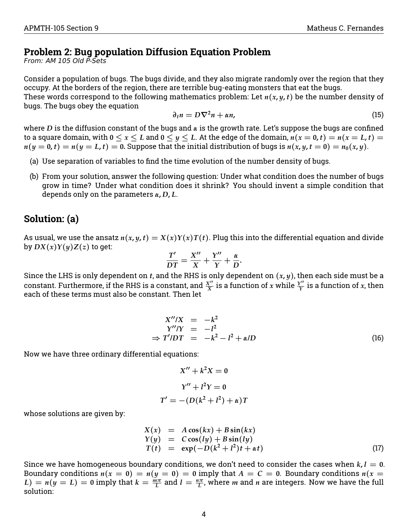## **Problem 2: Bug population Diffusion Equation Problem**

From: AM 105 Old P-Sets

Consider a population of bugs. The bugs divide, and they also migrate randomly over the region that they occupy. At the borders of the region, there are terrible bug-eating monsters that eat the bugs. These words correspond to the following mathematics problem: Let  $n(x, y, t)$  be the number density of bugs. The bugs obey the equation

$$
\partial_t n = D \nabla^2 n + \alpha n, \tag{15}
$$

where *D* is the diffusion constant of the bugs and *α* is the growth rate. Let's suppose the bugs are confined to a square domain, with  $0 \le x \le L$  and  $0 \le y \le L$ . At the edge of the domain,  $n(x = 0, t) = n(x = L, t) =$  $n(y=0,t) = n(y=L,t) = 0$ . Suppose that the initial distribution of bugs is  $n(x,y,t=0) = n_0(x,y)$ .

- (a) Use separation of variables to find the time evolution of the number density of bugs.
- (b) From your solution, answer the following question: Under what condition does the number of bugs grow in time? Under what condition does it shrink? You should invent a simple condition that depends only on the parameters *α***,** *D***,** *L*.

#### **Solution: (a)**

As usual, we use the ansatz  $n(x, y, t) = X(x)Y(x)T(t)$ . Plug this into the differential equation and divide by  $DX(x)Y(y)Z(z)$  to get:

$$
\frac{T'}{DT} = \frac{X''}{X} + \frac{Y''}{Y} + \frac{\alpha}{D}.
$$

Since the LHS is only dependent on *t*, and the RHS is only dependent on (*x***,** *y*), then each side must be a constant. Furthermore, if the RHS is a constant, and  $\frac{X^{\prime\prime}}{X}$  $\frac{X^{\prime\prime}}{X}$  is a function of  $x$  while  $\frac{Y^{\prime\prime}}{Y}$  $\frac{Y^{\prime\prime}}{Y}$  is a function of *x*, then each of these terms must also be constant. Then let

$$
X''/X = -k^2
$$
  
\n
$$
Y''/Y = -l^2
$$
  
\n
$$
\Rightarrow T'/DT = -k^2 - l^2 + \alpha/D
$$
 (16)

Now we have three ordinary differential equations:

$$
X'' + k2X = 0
$$

$$
Y'' + l2Y = 0
$$

$$
T' = -(D(k2 + l2) + \alpha)T
$$

whose solutions are given by:

$$
X(x) = A \cos(kx) + B \sin(kx)
$$
  
\n
$$
Y(y) = C \cos(ly) + B \sin(ly)
$$
  
\n
$$
T(t) = \exp(-D(k^2 + l^2)t + \alpha t)
$$
\n(17)

Since we have homogeneous boundary conditions, we don't need to consider the cases when  $k, l = 0$ . Boundary conditions  $n(x = 0) = n(y = 0) = 0$  imply that  $A = C = 0$ . Boundary conditions  $n(x = 0) = n(y = 0)$  $L$ ) =  $n(y = L) = 0$  imply that  $k = \frac{m\pi}{L}$  and  $l = \frac{n\pi}{L}$ , where  $m$  and  $n$  are integers. Now we have the full solution: